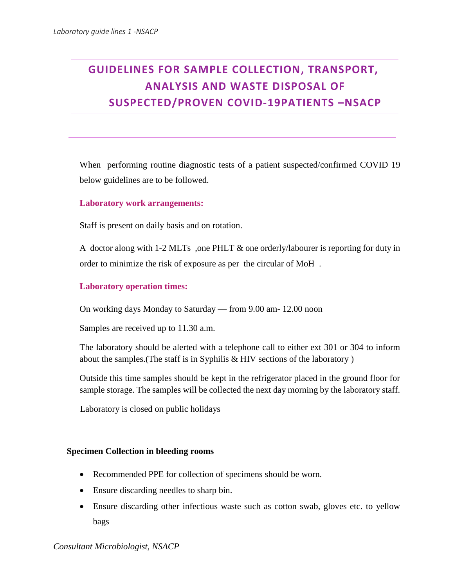# **GUIDELINES FOR SAMPLE COLLECTION, TRANSPORT, ANALYSIS AND WASTE DISPOSAL OF SUSPECTED/PROVEN COVID-19PATIENTS –NSACP**

When performing routine diagnostic tests of a patient suspected/confirmed COVID 19 below guidelines are to be followed.

# **Laboratory work arrangements:**

Staff is present on daily basis and on rotation.

A doctor along with 1-2 MLTs ,one PHLT & one orderly/labourer is reporting for duty in order to minimize the risk of exposure as per the circular of MoH .

#### **Laboratory operation times:**

On working days Monday to Saturday –– from 9.00 am- 12.00 noon

Samples are received up to 11.30 a.m.

The laboratory should be alerted with a telephone call to either ext 301 or 304 to inform about the samples.(The staff is in Syphilis & HIV sections of the laboratory )

Outside this time samples should be kept in the refrigerator placed in the ground floor for sample storage. The samples will be collected the next day morning by the laboratory staff.

Laboratory is closed on public holidays

#### **Specimen Collection in bleeding rooms**

- Recommended PPE for collection of specimens should be worn.
- Ensure discarding needles to sharp bin.
- Ensure discarding other infectious waste such as cotton swab, gloves etc. to yellow bags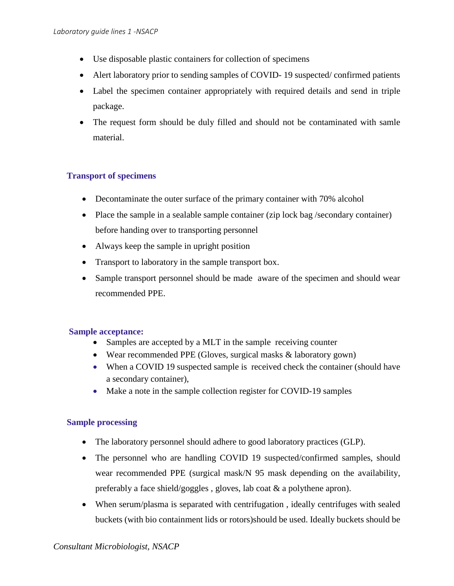- Use disposable plastic containers for collection of specimens
- Alert laboratory prior to sending samples of COVID-19 suspected/ confirmed patients
- Label the specimen container appropriately with required details and send in triple package.
- The request form should be duly filled and should not be contaminated with samle material.

# **Transport of specimens**

- Decontaminate the outer surface of the primary container with 70% alcohol
- Place the sample in a sealable sample container (zip lock bag /secondary container) before handing over to transporting personnel
- Always keep the sample in upright position
- Transport to laboratory in the sample transport box.
- Sample transport personnel should be made aware of the specimen and should wear recommended PPE.

# **Sample acceptance:**

- Samples are accepted by a MLT in the sample receiving counter
- Wear recommended PPE (Gloves, surgical masks & laboratory gown)
- When a COVID 19 suspected sample is received check the container (should have a secondary container),
- Make a note in the sample collection register for COVID-19 samples

# **Sample processing**

- The laboratory personnel should adhere to good laboratory practices (GLP).
- The personnel who are handling COVID 19 suspected/confirmed samples, should wear recommended PPE (surgical mask/N 95 mask depending on the availability, preferably a face shield/goggles , gloves, lab coat & a polythene apron).
- When serum/plasma is separated with centrifugation , ideally centrifuges with sealed buckets (with bio containment lids or rotors)should be used. Ideally buckets should be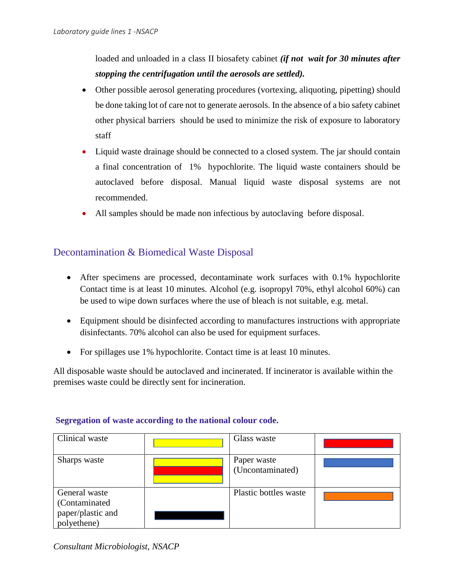loaded and unloaded in a class II biosafety cabinet *(if not wait for 30 minutes after stopping the centrifugation until the aerosols are settled).*

- Other possible aerosol generating procedures (vortexing, aliquoting, pipetting) should be done taking lot of care not to generate aerosols. In the absence of a bio safety cabinet other physical barriers should be used to minimize the risk of exposure to laboratory staff
- Liquid waste drainage should be connected to a closed system. The jar should contain a final concentration of 1% hypochlorite. The liquid waste containers should be autoclaved before disposal. Manual liquid waste disposal systems are not recommended.
- All samples should be made non infectious by autoclaving before disposal.

# Decontamination & Biomedical Waste Disposal

- After specimens are processed, decontaminate work surfaces with 0.1% hypochlorite Contact time is at least 10 minutes. Alcohol (e.g. isopropyl 70%, ethyl alcohol 60%) can be used to wipe down surfaces where the use of bleach is not suitable, e.g. metal.
- Equipment should be disinfected according to manufactures instructions with appropriate disinfectants. 70% alcohol can also be used for equipment surfaces.
- For spillages use 1% hypochlorite. Contact time is at least 10 minutes.

All disposable waste should be autoclaved and incinerated. If incinerator is available within the premises waste could be directly sent for incineration.

| Clinical waste                                                     | Glass waste                     |  |
|--------------------------------------------------------------------|---------------------------------|--|
| Sharps waste                                                       | Paper waste<br>(Uncontaminated) |  |
| General waste<br>(Contaminated<br>paper/plastic and<br>polyethene) | Plastic bottles waste           |  |

# **Segregation of waste according to the national colour code.**

*Consultant Microbiologist, NSACP*